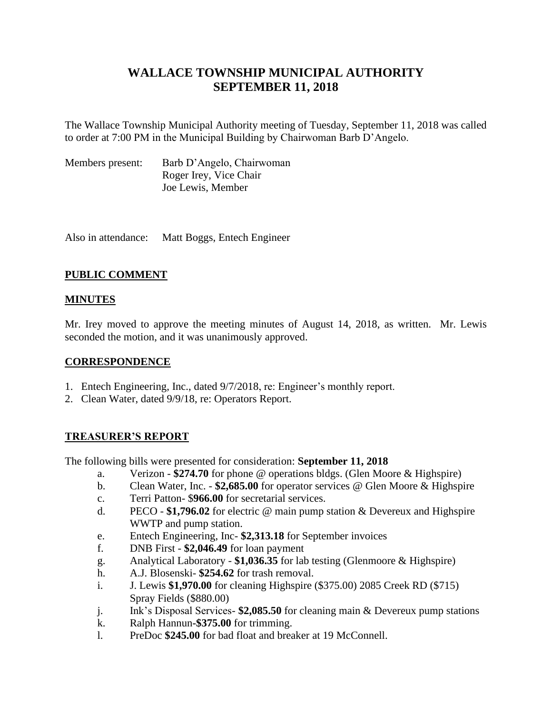# **WALLACE TOWNSHIP MUNICIPAL AUTHORITY SEPTEMBER 11, 2018**

The Wallace Township Municipal Authority meeting of Tuesday, September 11, 2018 was called to order at 7:00 PM in the Municipal Building by Chairwoman Barb D'Angelo.

| Members present: | Barb D'Angelo, Chairwoman |
|------------------|---------------------------|
|                  | Roger Irey, Vice Chair    |
|                  | Joe Lewis, Member         |

Also in attendance: Matt Boggs, Entech Engineer

## **PUBLIC COMMENT**

## **MINUTES**

Mr. Irey moved to approve the meeting minutes of August 14, 2018, as written. Mr. Lewis seconded the motion, and it was unanimously approved.

### **CORRESPONDENCE**

- 1. Entech Engineering, Inc., dated 9/7/2018, re: Engineer's monthly report.
- 2. Clean Water, dated 9/9/18, re: Operators Report.

## **TREASURER'S REPORT**

The following bills were presented for consideration: **September 11, 2018**

- a. Verizon **\$274.70** for phone @ operations bldgs. (Glen Moore & Highspire)
- b. Clean Water, Inc. **\$2,685.00** for operator services @ Glen Moore & Highspire
- c. Terri Patton- \$**966.00** for secretarial services.
- d. PECO **\$1,796.02** for electric @ main pump station & Devereux and Highspire WWTP and pump station.
- e. Entech Engineering, Inc- **\$2,313.18** for September invoices
- f. DNB First **\$2,046.49** for loan payment
- g. Analytical Laboratory **\$1,036.35** for lab testing (Glenmoore & Highspire)
- h. A.J. Blosenski- **\$254.62** for trash removal.
- i. J. Lewis **\$1,970.00** for cleaning Highspire (\$375.00) 2085 Creek RD (\$715) Spray Fields (\$880.00)
- j. Ink's Disposal Services- **\$2,085.50** for cleaning main & Devereux pump stations
- k. Ralph Hannun**-\$375.00** for trimming.
- l. PreDoc **\$245.00** for bad float and breaker at 19 McConnell.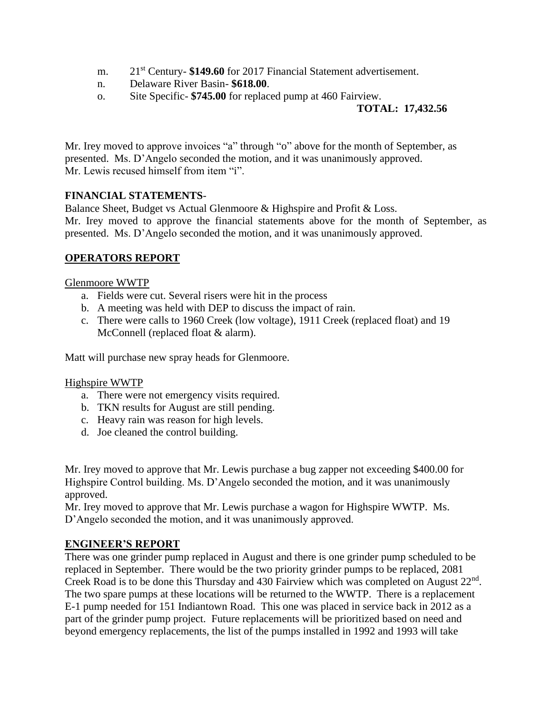- m. 21<sup>st</sup> Century- \$149.60 for 2017 Financial Statement advertisement.
- n. Delaware River Basin- **\$618.00**.
- o. Site Specific- **\$745.00** for replaced pump at 460 Fairview.

## **TOTAL: 17,432.56**

Mr. Irey moved to approve invoices "a" through "o" above for the month of September, as presented. Ms. D'Angelo seconded the motion, and it was unanimously approved. Mr. Lewis recused himself from item "i".

## **FINANCIAL STATEMENTS**-

Balance Sheet, Budget vs Actual Glenmoore & Highspire and Profit & Loss. Mr. Irey moved to approve the financial statements above for the month of September, as presented. Ms. D'Angelo seconded the motion, and it was unanimously approved.

## **OPERATORS REPORT**

#### Glenmoore WWTP

- a. Fields were cut. Several risers were hit in the process
- b. A meeting was held with DEP to discuss the impact of rain.
- c. There were calls to 1960 Creek (low voltage), 1911 Creek (replaced float) and 19 McConnell (replaced float & alarm).

Matt will purchase new spray heads for Glenmoore.

#### Highspire WWTP

- a. There were not emergency visits required.
- b. TKN results for August are still pending.
- c. Heavy rain was reason for high levels.
- d. Joe cleaned the control building.

Mr. Irey moved to approve that Mr. Lewis purchase a bug zapper not exceeding \$400.00 for Highspire Control building. Ms. D'Angelo seconded the motion, and it was unanimously approved.

Mr. Irey moved to approve that Mr. Lewis purchase a wagon for Highspire WWTP. Ms. D'Angelo seconded the motion, and it was unanimously approved.

#### **ENGINEER'S REPORT**

There was one grinder pump replaced in August and there is one grinder pump scheduled to be replaced in September. There would be the two priority grinder pumps to be replaced, 2081 Creek Road is to be done this Thursday and 430 Fairview which was completed on August  $22<sup>nd</sup>$ . The two spare pumps at these locations will be returned to the WWTP. There is a replacement E-1 pump needed for 151 Indiantown Road. This one was placed in service back in 2012 as a part of the grinder pump project. Future replacements will be prioritized based on need and beyond emergency replacements, the list of the pumps installed in 1992 and 1993 will take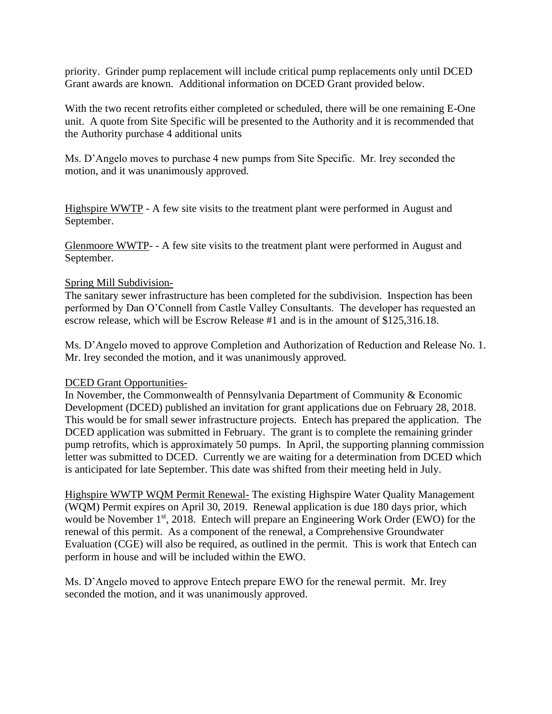priority. Grinder pump replacement will include critical pump replacements only until DCED Grant awards are known. Additional information on DCED Grant provided below.

With the two recent retrofits either completed or scheduled, there will be one remaining E-One unit. A quote from Site Specific will be presented to the Authority and it is recommended that the Authority purchase 4 additional units

Ms. D'Angelo moves to purchase 4 new pumps from Site Specific. Mr. Irey seconded the motion, and it was unanimously approved.

Highspire WWTP - A few site visits to the treatment plant were performed in August and September.

Glenmoore WWTP- - A few site visits to the treatment plant were performed in August and September.

#### Spring Mill Subdivision-

The sanitary sewer infrastructure has been completed for the subdivision. Inspection has been performed by Dan O'Connell from Castle Valley Consultants. The developer has requested an escrow release, which will be Escrow Release #1 and is in the amount of \$125,316.18.

Ms. D'Angelo moved to approve Completion and Authorization of Reduction and Release No. 1. Mr. Irey seconded the motion, and it was unanimously approved.

#### DCED Grant Opportunities-

In November, the Commonwealth of Pennsylvania Department of Community & Economic Development (DCED) published an invitation for grant applications due on February 28, 2018. This would be for small sewer infrastructure projects. Entech has prepared the application. The DCED application was submitted in February. The grant is to complete the remaining grinder pump retrofits, which is approximately 50 pumps. In April, the supporting planning commission letter was submitted to DCED. Currently we are waiting for a determination from DCED which is anticipated for late September. This date was shifted from their meeting held in July.

Highspire WWTP WQM Permit Renewal- The existing Highspire Water Quality Management (WQM) Permit expires on April 30, 2019. Renewal application is due 180 days prior, which would be November 1<sup>st</sup>, 2018. Entech will prepare an Engineering Work Order (EWO) for the renewal of this permit. As a component of the renewal, a Comprehensive Groundwater Evaluation (CGE) will also be required, as outlined in the permit. This is work that Entech can perform in house and will be included within the EWO.

Ms. D'Angelo moved to approve Entech prepare EWO for the renewal permit. Mr. Irey seconded the motion, and it was unanimously approved.